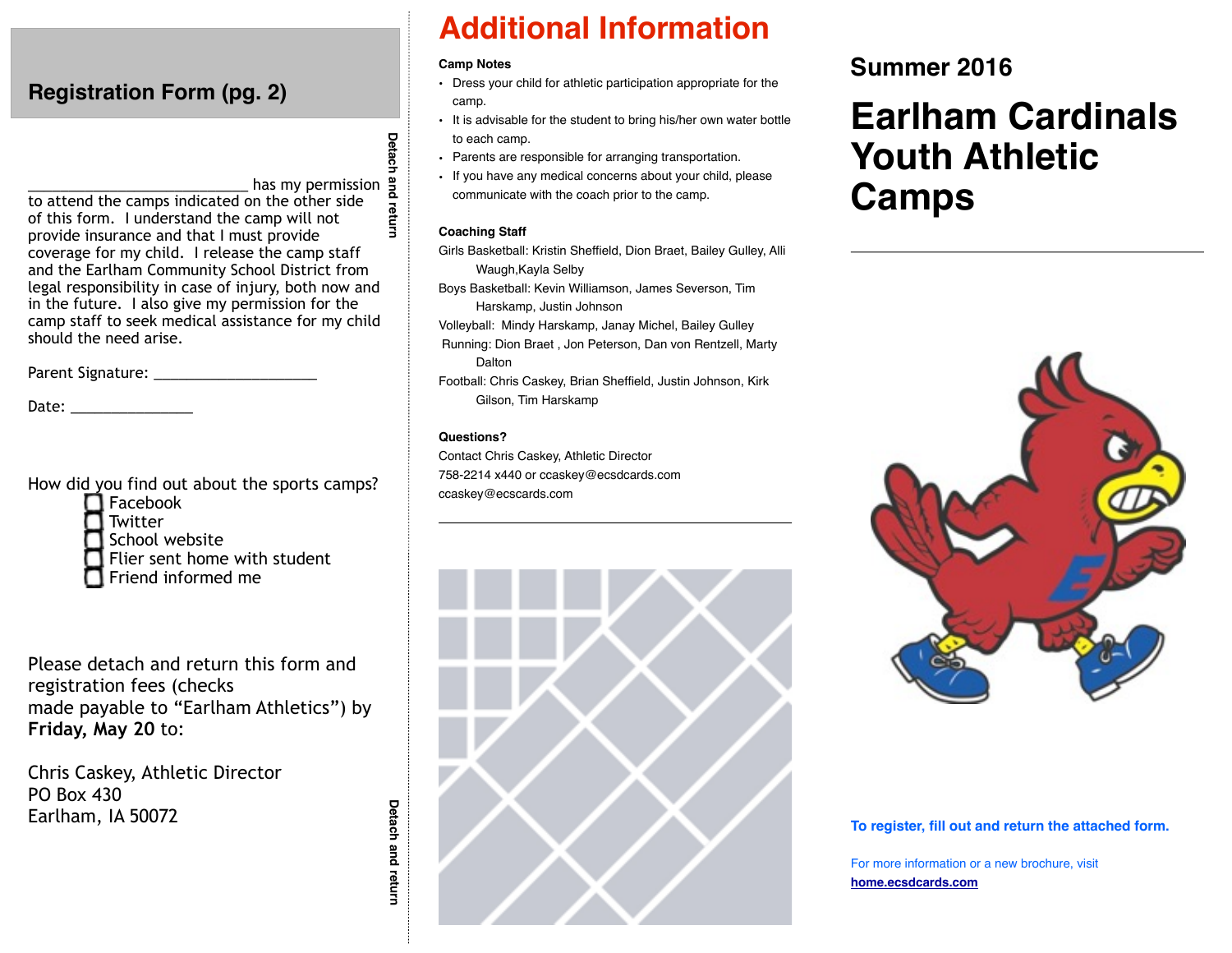# **Registration Form (pg. 2)**

has my permission  $\frac{a}{b}$ <br>
but the other side<br>
camp will not<br>
get provide to attend the camps indicated on the other side of this form. I understand the camp will not provide insurance and that I must provide coverage for my child. I release the camp staff and the Earlham Community School District from legal responsibility in case of injury, both now and in the future. I also give my permission for the camp staff to seek medical assistance for my child should the need arise.

Parent Signature: \_\_\_\_\_\_\_\_\_\_\_\_\_\_\_\_\_\_\_\_

Date:  $\Box$ 

How did you find out about the sports camps?



**T** Twitter

School website

Flier sent home with student

Friend informed me

Please detach and return this form and registration fees (checks made payable to "Earlham Athletics") by **Friday, May 20** to:

Chris Caskey, Athletic Director PO Box 430 Earlham, IA 50072

• It is advisable for the student to bring his/her own water bottle Detach **Detach and return Detach and return**

Detach and return

- Parents are responsible for arranging transportation.
- If you have any medical concerns about your child, please communicate with the coach prior to the camp.

**Additional Information**

• Dress your child for athletic participation appropriate for the

#### **Coaching Staff**

**Camp Notes**

camp.

to each camp.

- Girls Basketball: Kristin Sheffield, Dion Braet, Bailey Gulley, Alli Waugh,Kayla Selby
- Boys Basketball: Kevin Williamson, James Severson, Tim Harskamp, Justin Johnson
- Volleyball: Mindy Harskamp, Janay Michel, Bailey Gulley
- Running: Dion Braet , Jon Peterson, Dan von Rentzell, Marty Dalton
- Football: Chris Caskey, Brian Sheffield, Justin Johnson, Kirk Gilson, Tim Harskamp

#### **Questions?**

Contact Chris Caskey, Athletic Director 758-2214 x440 or ccaskey@ecsdcards.com ccaskey@ecscards.com



# **Summer 2016**

# **Earlham Cardinals Youth Athletic Camps**



#### **To register, fill out and return the attached form.**

For more information or a new brochure, visit **[home.ecsdcards.com](http://home.ecsdcards.com)**